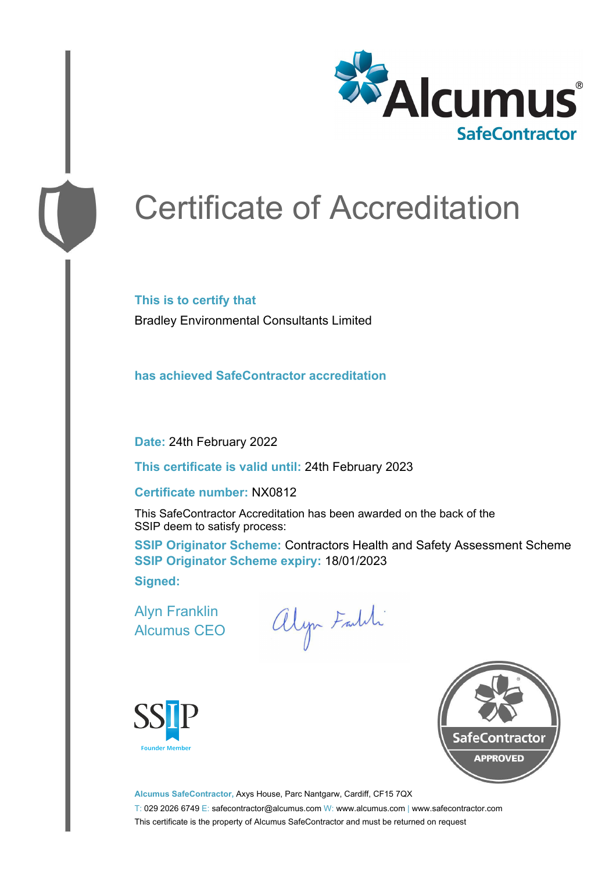

# Certificate of Accreditation

**This is to certify that** Bradley Environmental Consultants Limited

**has achieved SafeContractor accreditation**

**Date:** 24th February 2022

**This certificate is valid until:** 24th February 2023

#### **Certificate number:** NX0812

This SafeContractor Accreditation has been awarded on the back of the SSIP deem to satisfy process:

**SSIP Originator Scheme: Contractors Health and Safety Assessment Scheme SSIP Originator Scheme expiry:** 18/01/2023 **Signed:**

Alyn Franklin Alcumus CEO

alyn Faldi





**Alcumus SafeContractor,** Axys House, Parc Nantgarw, Cardiff, CF15 7QX T: 029 2026 6749 E: safecontractor@alcumus.com W: www.alcumus.com | www.safecontractor.com This certificate is the property of Alcumus SafeContractor and must be returned on request